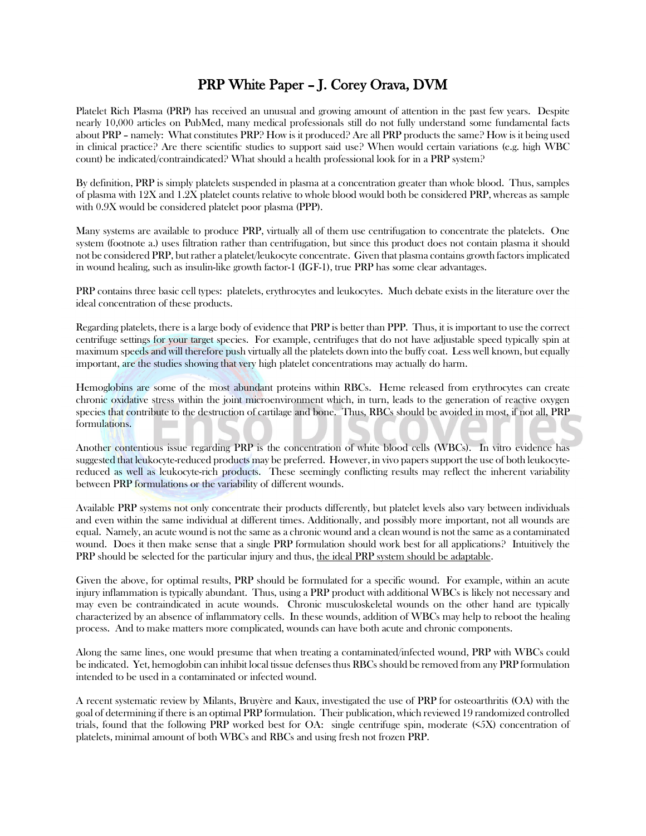## PRP White Paper – J. Corey Orava, DVM

Platelet Rich Plasma (PRP) has received an unusual and growing amount of attention in the past few years. Despite nearly 10,000 articles on PubMed, many medical professionals still do not fully understand some fundamental facts about PRP – namely: What constitutes PRP? How is it produced? Are all PRP products the same? How is it being used in clinical practice? Are there scientific studies to support said use? When would certain variations (e.g. high WBC count) be indicated/contraindicated? What should a health professional look for in a PRP system?

By definition, PRP is simply platelets suspended in plasma at a concentration greater than whole blood. Thus, samples of plasma with 12X and 1.2X platelet counts relative to whole blood would both be considered PRP, whereas as sample with 0.9X would be considered platelet poor plasma (PPP).

Many systems are available to produce PRP, virtually all of them use centrifugation to concentrate the platelets. One system (footnote a.) uses filtration rather than centrifugation, but since this product does not contain plasma it should not be considered PRP, but rather a platelet/leukocyte concentrate. Given that plasma contains growth factors implicated in wound healing, such as insulin-like growth factor-1 (IGF-1), true PRP has some clear advantages.

PRP contains three basic cell types: platelets, erythrocytes and leukocytes. Much debate exists in the literature over the ideal concentration of these products.

Regarding platelets, there is a large body of evidence that PRP is better than PPP. Thus, it is important to use the correct centrifuge settings for your target species. For example, centrifuges that do not have adjustable speed typically spin at maximum speeds and will therefore push virtually all the platelets down into the buffy coat. Less well known, but equally important, are the studies showing that very high platelet concentrations may actually do harm.

Hemoglobins are some of the most abundant proteins within RBCs. Heme released from erythrocytes can create chronic oxidative stress within the joint microenvironment which, in turn, leads to the generation of reactive oxygen species that contribute to the destruction of cartilage and bone. Thus, RBCs should be avoided in most, if not all, PRP formulations.

Another contentious issue regarding PRP is the concentration of white blood cells (WBCs). In vitro evidence has suggested that leukocyte-reduced products may be preferred. However, in vivo papers support the use of both leukocytereduced as well as leukocyte-rich products. These seemingly conflicting results may reflect the inherent variability between PRP formulations or the variability of different wounds.

Available PRP systems not only concentrate their products differently, but platelet levels also vary between individuals and even within the same individual at different times. Additionally, and possibly more important, not all wounds are equal. Namely, an acute wound is not the same as a chronic wound and a clean wound is not the same as a contaminated wound. Does it then make sense that a single PRP formulation should work best for all applications? Intuitively the PRP should be selected for the particular injury and thus, the ideal PRP system should be adaptable.

Given the above, for optimal results, PRP should be formulated for a specific wound. For example, within an acute injury inflammation is typically abundant. Thus, using a PRP product with additional WBCs is likely not necessary and may even be contraindicated in acute wounds. Chronic musculoskeletal wounds on the other hand are typically characterized by an absence of inflammatory cells. In these wounds, addition of WBCs may help to reboot the healing process. And to make matters more complicated, wounds can have both acute and chronic components.

Along the same lines, one would presume that when treating a contaminated/infected wound, PRP with WBCs could be indicated. Yet, hemoglobin can inhibit local tissue defensesthus RBCs should be removed from any PRP formulation intended to be used in a contaminated or infected wound.

A recent systematic review by Milants, Bruyère and Kaux, investigated the use of PRP for osteoarthritis (OA) with the goal of determining if there is an optimal PRP formulation. Their publication, which reviewed 19 randomized controlled trials, found that the following PRP worked best for OA: single centrifuge spin, moderate (<5X) concentration of platelets, minimal amount of both WBCs and RBCs and using fresh not frozen PRP.